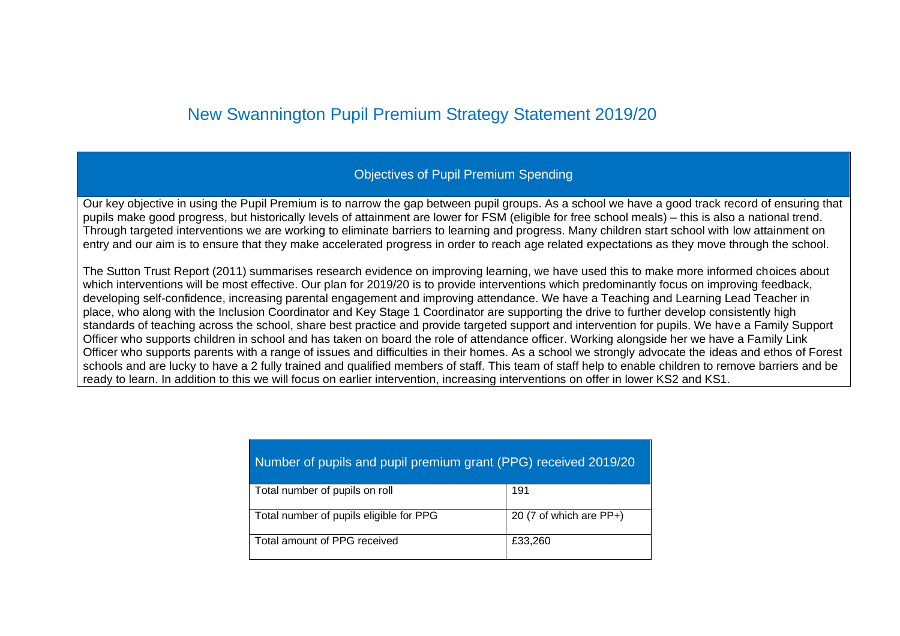## New Swannington Pupil Premium Strategy Statement 2019/20

## Objectives of Pupil Premium Spending

Our key objective in using the Pupil Premium is to narrow the gap between pupil groups. As a school we have a good track record of ensuring that pupils make good progress, but historically levels of attainment are lower for FSM (eligible for free school meals) – this is also a national trend. Through targeted interventions we are working to eliminate barriers to learning and progress. Many children start school with low attainment on entry and our aim is to ensure that they make accelerated progress in order to reach age related expectations as they move through the school.

The Sutton Trust Report (2011) summarises research evidence on improving learning, we have used this to make more informed choices about which interventions will be most effective. Our plan for 2019/20 is to provide interventions which predominantly focus on improving feedback, developing self-confidence, increasing parental engagement and improving attendance. We have a Teaching and Learning Lead Teacher in place, who along with the Inclusion Coordinator and Key Stage 1 Coordinator are supporting the drive to further develop consistently high standards of teaching across the school, share best practice and provide targeted support and intervention for pupils. We have a Family Support Officer who supports children in school and has taken on board the role of attendance officer. Working alongside her we have a Family Link Officer who supports parents with a range of issues and difficulties in their homes. As a school we strongly advocate the ideas and ethos of Forest schools and are lucky to have a 2 fully trained and qualified members of staff. This team of staff help to enable children to remove barriers and be ready to learn. In addition to this we will focus on earlier intervention, increasing interventions on offer in lower KS2 and KS1.

| Number of pupils and pupil premium grant (PPG) received 2019/20 |                         |  |  |  |  |  |
|-----------------------------------------------------------------|-------------------------|--|--|--|--|--|
| Total number of pupils on roll                                  | 191                     |  |  |  |  |  |
| Total number of pupils eligible for PPG                         | 20 (7 of which are PP+) |  |  |  |  |  |
| Total amount of PPG received                                    | £33,260                 |  |  |  |  |  |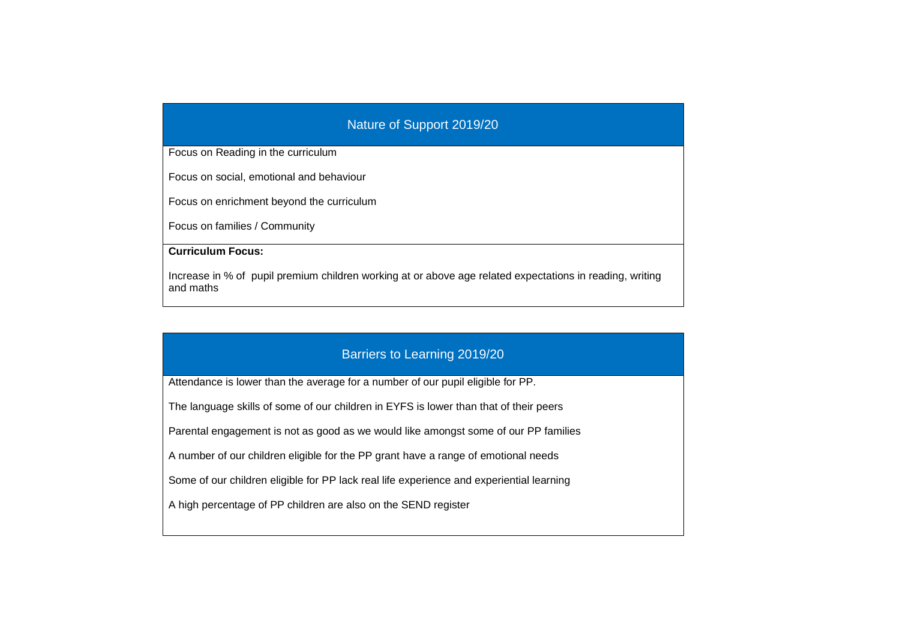## Nature of Support 2019/20

Focus on Reading in the curriculum

Focus on social, emotional and behaviour

Focus on enrichment beyond the curriculum

Focus on families / Community

**Curriculum Focus:**

Increase in % of pupil premium children working at or above age related expectations in reading, writing and maths

## Barriers to Learning 2019/20

Attendance is lower than the average for a number of our pupil eligible for PP.

The language skills of some of our children in EYFS is lower than that of their peers

Parental engagement is not as good as we would like amongst some of our PP families

A number of our children eligible for the PP grant have a range of emotional needs

Some of our children eligible for PP lack real life experience and experiential learning

A high percentage of PP children are also on the SEND register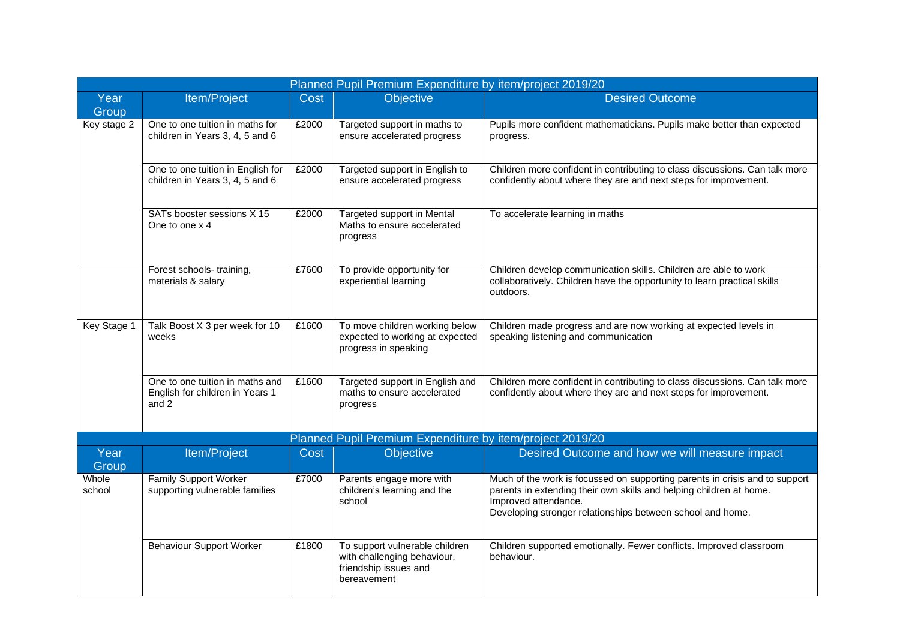| Planned Pupil Premium Expenditure by item/project 2019/20 |                                                                             |       |                                                                                                       |                                                                                                                                                                                                                                          |  |  |  |
|-----------------------------------------------------------|-----------------------------------------------------------------------------|-------|-------------------------------------------------------------------------------------------------------|------------------------------------------------------------------------------------------------------------------------------------------------------------------------------------------------------------------------------------------|--|--|--|
| Year<br>Group                                             | Item/Project                                                                | Cost  | Objective                                                                                             | <b>Desired Outcome</b>                                                                                                                                                                                                                   |  |  |  |
| Key stage 2                                               | One to one tuition in maths for<br>children in Years 3, 4, 5 and 6          | £2000 | Targeted support in maths to<br>ensure accelerated progress                                           | Pupils more confident mathematicians. Pupils make better than expected<br>progress.                                                                                                                                                      |  |  |  |
|                                                           | One to one tuition in English for<br>children in Years 3, 4, 5 and 6        | £2000 | Targeted support in English to<br>ensure accelerated progress                                         | Children more confident in contributing to class discussions. Can talk more<br>confidently about where they are and next steps for improvement.                                                                                          |  |  |  |
|                                                           | SATs booster sessions X 15<br>One to one x 4                                | £2000 | Targeted support in Mental<br>Maths to ensure accelerated<br>progress                                 | To accelerate learning in maths                                                                                                                                                                                                          |  |  |  |
|                                                           | Forest schools- training,<br>materials & salary                             | £7600 | To provide opportunity for<br>experiential learning                                                   | Children develop communication skills. Children are able to work<br>collaboratively. Children have the opportunity to learn practical skills<br>outdoors.                                                                                |  |  |  |
| Key Stage 1                                               | Talk Boost X 3 per week for 10<br>weeks                                     | £1600 | To move children working below<br>expected to working at expected<br>progress in speaking             | Children made progress and are now working at expected levels in<br>speaking listening and communication                                                                                                                                 |  |  |  |
|                                                           | One to one tuition in maths and<br>English for children in Years 1<br>and 2 | £1600 | Targeted support in English and<br>maths to ensure accelerated<br>progress                            | Children more confident in contributing to class discussions. Can talk more<br>confidently about where they are and next steps for improvement.                                                                                          |  |  |  |
|                                                           |                                                                             |       | Planned Pupil Premium Expenditure by item/project 2019/20                                             |                                                                                                                                                                                                                                          |  |  |  |
| Year<br>Group                                             | Item/Project                                                                | Cost  | Objective                                                                                             | Desired Outcome and how we will measure impact                                                                                                                                                                                           |  |  |  |
| Whole<br>school                                           | Family Support Worker<br>supporting vulnerable families                     | £7000 | Parents engage more with<br>children's learning and the<br>school                                     | Much of the work is focussed on supporting parents in crisis and to support<br>parents in extending their own skills and helping children at home.<br>Improved attendance.<br>Developing stronger relationships between school and home. |  |  |  |
|                                                           | <b>Behaviour Support Worker</b>                                             | £1800 | To support vulnerable children<br>with challenging behaviour,<br>friendship issues and<br>bereavement | Children supported emotionally. Fewer conflicts. Improved classroom<br>behaviour.                                                                                                                                                        |  |  |  |